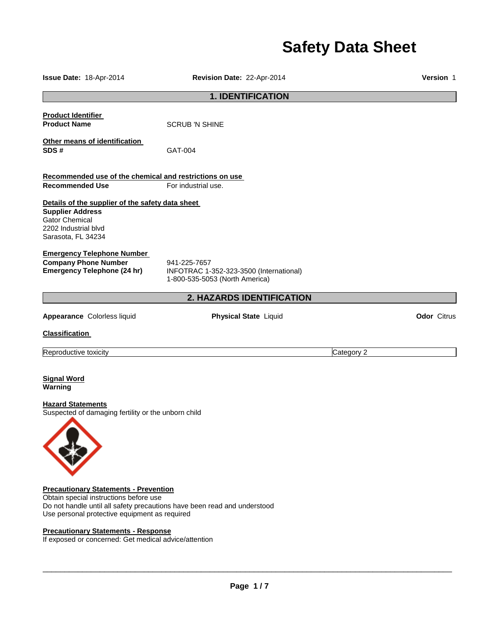# **Safety Data Sheet**

| Issue Date: 18-Apr-2014                                                                                                                            | Revision Date: 22-Apr-2014                                                                |            | Version 1          |
|----------------------------------------------------------------------------------------------------------------------------------------------------|-------------------------------------------------------------------------------------------|------------|--------------------|
|                                                                                                                                                    | <b>1. IDENTIFICATION</b>                                                                  |            |                    |
| <b>Product Identifier</b><br><b>Product Name</b>                                                                                                   | <b>SCRUB 'N SHINE</b>                                                                     |            |                    |
| Other means of identification<br>SDS#                                                                                                              | GAT-004                                                                                   |            |                    |
| Recommended use of the chemical and restrictions on use                                                                                            |                                                                                           |            |                    |
| <b>Recommended Use</b>                                                                                                                             | For industrial use.                                                                       |            |                    |
| Details of the supplier of the safety data sheet<br><b>Supplier Address</b><br><b>Gator Chemical</b><br>2202 Industrial blvd<br>Sarasota, FL 34234 |                                                                                           |            |                    |
| <b>Emergency Telephone Number</b><br><b>Company Phone Number</b><br><b>Emergency Telephone (24 hr)</b>                                             | 941-225-7657<br>INFOTRAC 1-352-323-3500 (International)<br>1-800-535-5053 (North America) |            |                    |
|                                                                                                                                                    | 2. HAZARDS IDENTIFICATION                                                                 |            |                    |
| Appearance Colorless liquid                                                                                                                        | <b>Physical State Liquid</b>                                                              |            | <b>Odor</b> Citrus |
| <b>Classification</b>                                                                                                                              |                                                                                           |            |                    |
| Reproductive toxicity                                                                                                                              |                                                                                           | Category 2 |                    |
| <b>Signal Word</b><br>Warning<br><b>Hazard Statements</b><br>Suspected of damaging fertility or the unborn child                                   |                                                                                           |            |                    |
| <b>Precautionary Statements - Prevention</b>                                                                                                       |                                                                                           |            |                    |

Obtain special instructions before use Do not handle until all safety precautions have been read and understood Use personal protective equipment as required

#### **Precautionary Statements - Response**

If exposed or concerned: Get medical advice/attention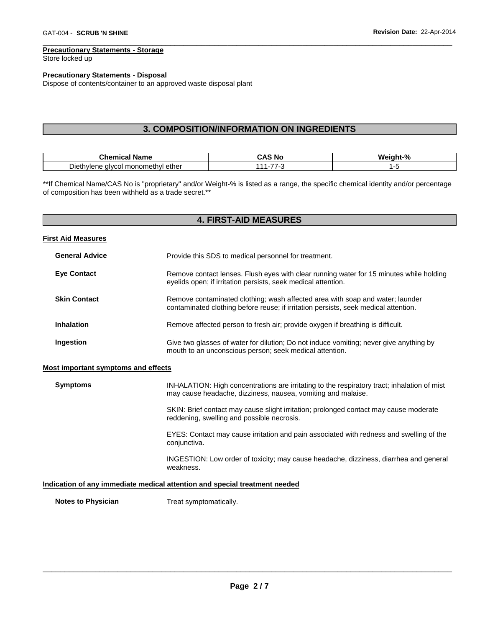#### **Precautionary Statements - Storage**

Store locked up

#### **Precautionary Statements - Disposal**

Dispose of contents/container to an approved waste disposal plant

## **3. COMPOSITION/INFORMATION ON INGREDIENTS**

\_\_\_\_\_\_\_\_\_\_\_\_\_\_\_\_\_\_\_\_\_\_\_\_\_\_\_\_\_\_\_\_\_\_\_\_\_\_\_\_\_\_\_\_\_\_\_\_\_\_\_\_\_\_\_\_\_\_\_\_\_\_\_\_\_\_\_\_\_\_\_\_\_\_\_\_\_\_\_\_\_\_\_\_\_\_\_\_\_\_\_\_\_

| $-$<br>.                                           | - NC | n.<br>Me |
|----------------------------------------------------|------|----------|
| --<br>Jieth<br>nomr<br>ether<br>∕^∕اا،<br>עו<br>'' |      |          |

\*\*If Chemical Name/CAS No is "proprietary" and/or Weight-% is listed as a range, the specific chemical identity and/or percentage of composition has been withheld as a trade secret.\*\*

| <b>4. FIRST-AID MEASURES</b>               |                                                                                                                                                                      |  |
|--------------------------------------------|----------------------------------------------------------------------------------------------------------------------------------------------------------------------|--|
| <b>First Aid Measures</b>                  |                                                                                                                                                                      |  |
| <b>General Advice</b>                      | Provide this SDS to medical personnel for treatment.                                                                                                                 |  |
| <b>Eye Contact</b>                         | Remove contact lenses. Flush eyes with clear running water for 15 minutes while holding<br>eyelids open; if irritation persists, seek medical attention.             |  |
| <b>Skin Contact</b>                        | Remove contaminated clothing; wash affected area with soap and water; launder<br>contaminated clothing before reuse; if irritation persists, seek medical attention. |  |
| <b>Inhalation</b>                          | Remove affected person to fresh air; provide oxygen if breathing is difficult.                                                                                       |  |
| Ingestion                                  | Give two glasses of water for dilution; Do not induce vomiting; never give anything by<br>mouth to an unconscious person; seek medical attention.                    |  |
| <b>Most important symptoms and effects</b> |                                                                                                                                                                      |  |
| <b>Symptoms</b>                            | INHALATION: High concentrations are irritating to the respiratory tract; inhalation of mist<br>may cause headache, dizziness, nausea, vomiting and malaise.          |  |
|                                            | SKIN: Brief contact may cause slight irritation; prolonged contact may cause moderate<br>reddening, swelling and possible necrosis.                                  |  |
|                                            | EYES: Contact may cause irritation and pain associated with redness and swelling of the<br>conjunctiva.                                                              |  |
|                                            | INGESTION: Low order of toxicity; may cause headache, dizziness, diarrhea and general<br>weakness.                                                                   |  |
|                                            | Indication of any immediate medical attention and special treatment needed                                                                                           |  |
| <b>Notes to Physician</b>                  | Treat symptomatically.                                                                                                                                               |  |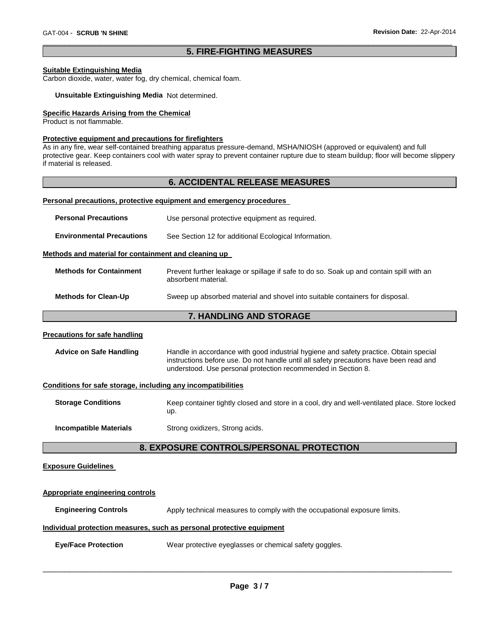#### \_\_\_\_\_\_\_\_\_\_\_\_\_\_\_\_\_\_\_\_\_\_\_\_\_\_\_\_\_\_\_\_\_\_\_\_\_\_\_\_\_\_\_\_\_\_\_\_\_\_\_\_\_\_\_\_\_\_\_\_\_\_\_\_\_\_\_\_\_\_\_\_\_\_\_\_\_\_\_\_\_\_\_\_\_\_\_\_\_\_\_\_\_ **5. FIRE-FIGHTING MEASURES**

#### **Suitable Extinguishing Media**

Carbon dioxide, water, water fog, dry chemical, chemical foam.

#### **Unsuitable Extinguishing Media** Not determined.

#### **Specific Hazards Arising from the Chemical**

Product is not flammable.

#### **Protective equipment and precautions for firefighters**

As in any fire, wear self-contained breathing apparatus pressure-demand, MSHA/NIOSH (approved or equivalent) and full protective gear. Keep containers cool with water spray to prevent container rupture due to steam buildup; floor will become slippery if material is released.

#### **6. ACCIDENTAL RELEASE MEASURES**

#### **Personal precautions, protective equipment and emergency procedures**

| <b>Personal Precautions</b>                          | Use personal protective equipment as required.                                                                 |
|------------------------------------------------------|----------------------------------------------------------------------------------------------------------------|
| <b>Environmental Precautions</b>                     | See Section 12 for additional Ecological Information.                                                          |
| Methods and material for containment and cleaning up |                                                                                                                |
| <b>Methods for Containment</b>                       | Prevent further leakage or spillage if safe to do so. Soak up and contain spill with an<br>absorbent material. |
| <b>Methods for Clean-Up</b>                          | Sweep up absorbed material and shovel into suitable containers for disposal.                                   |

#### **7. HANDLING AND STORAGE**

#### **Precautions for safe handling**

| <b>Advice on Safe Handling</b> | Handle in accordance with good industrial hygiene and safety practice. Obtain special  |
|--------------------------------|----------------------------------------------------------------------------------------|
|                                | instructions before use. Do not handle until all safety precautions have been read and |
|                                | understood. Use personal protection recommended in Section 8.                          |

#### **Conditions for safe storage, including any incompatibilities**

| <b>Storage Conditions</b>     | Keep container tightly closed and store in a cool, dry and well-ventilated place. Store locked<br>up. |
|-------------------------------|-------------------------------------------------------------------------------------------------------|
| <b>Incompatible Materials</b> | Strong oxidizers, Strong acids.                                                                       |

#### **8. EXPOSURE CONTROLS/PERSONAL PROTECTION**

#### **Exposure Guidelines**

## **Appropriate engineering controls Engineering Controls** Apply technical measures to comply with the occupational exposure limits. **Individual protection measures, such as personal protective equipment**

**Eye/Face Protection** Wear protective eyeglasses or chemical safety goggles.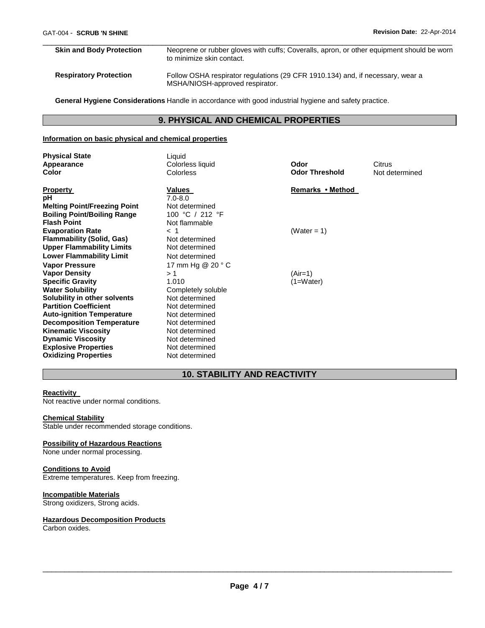## **Skin and Body Protection** Neoprene or rubber gloves with cuffs; Coveralls, apron, or other equipment should be worn to minimize skin contact. **Respiratory Protection** Follow OSHA respirator regulations (29 CFR 1910.134) and, if necessary, wear a MSHA/NIOSH-approved respirator.

\_\_\_\_\_\_\_\_\_\_\_\_\_\_\_\_\_\_\_\_\_\_\_\_\_\_\_\_\_\_\_\_\_\_\_\_\_\_\_\_\_\_\_\_\_\_\_\_\_\_\_\_\_\_\_\_\_\_\_\_\_\_\_\_\_\_\_\_\_\_\_\_\_\_\_\_\_\_\_\_\_\_\_\_\_\_\_\_\_\_\_\_\_

**General Hygiene Considerations** Handle in accordance with good industrial hygiene and safety practice.

## **9. PHYSICAL AND CHEMICAL PROPERTIES**

#### **Information on basic physical and chemical properties**

| <b>Physical State</b><br>Appearance<br><b>Color</b> | Liquid<br>Colorless liquid<br>Colorless | Odor<br><b>Odor Threshold</b> | Citrus<br>Not determined |
|-----------------------------------------------------|-----------------------------------------|-------------------------------|--------------------------|
| <b>Property</b>                                     | Values                                  | Remarks • Method              |                          |
| рH<br><b>Melting Point/Freezing Point</b>           | $7.0 - 8.0$<br>Not determined           |                               |                          |
| <b>Boiling Point/Boiling Range</b>                  | 100 °C / 212 °F                         |                               |                          |
| <b>Flash Point</b>                                  | Not flammable                           |                               |                          |
| <b>Evaporation Rate</b>                             | $<$ 1                                   | (Water = 1)                   |                          |
| <b>Flammability (Solid, Gas)</b>                    | Not determined                          |                               |                          |
| <b>Upper Flammability Limits</b>                    | Not determined                          |                               |                          |
| <b>Lower Flammability Limit</b>                     | Not determined                          |                               |                          |
| <b>Vapor Pressure</b>                               | 17 mm Hg $@$ 20 $^{\circ}$ C            |                               |                          |
| <b>Vapor Density</b>                                | >1                                      | $(Air=1)$                     |                          |
| <b>Specific Gravity</b>                             | 1.010                                   | $(1=Water)$                   |                          |
| <b>Water Solubility</b>                             | Completely soluble                      |                               |                          |
| Solubility in other solvents                        | Not determined                          |                               |                          |
| <b>Partition Coefficient</b>                        | Not determined                          |                               |                          |
| <b>Auto-ignition Temperature</b>                    | Not determined                          |                               |                          |
| <b>Decomposition Temperature</b>                    | Not determined                          |                               |                          |
| <b>Kinematic Viscosity</b>                          | Not determined                          |                               |                          |
| <b>Dynamic Viscosity</b>                            | Not determined                          |                               |                          |
| <b>Explosive Properties</b>                         | Not determined                          |                               |                          |
| <b>Oxidizing Properties</b>                         | Not determined                          |                               |                          |

## **10. STABILITY AND REACTIVITY**

#### **Reactivity**

Not reactive under normal conditions.

#### **Chemical Stability**

Stable under recommended storage conditions.

#### **Possibility of Hazardous Reactions**

None under normal processing.

#### **Conditions to Avoid**

Extreme temperatures. Keep from freezing.

#### **Incompatible Materials**

Strong oxidizers, Strong acids.

#### **Hazardous Decomposition Products**

Carbon oxides.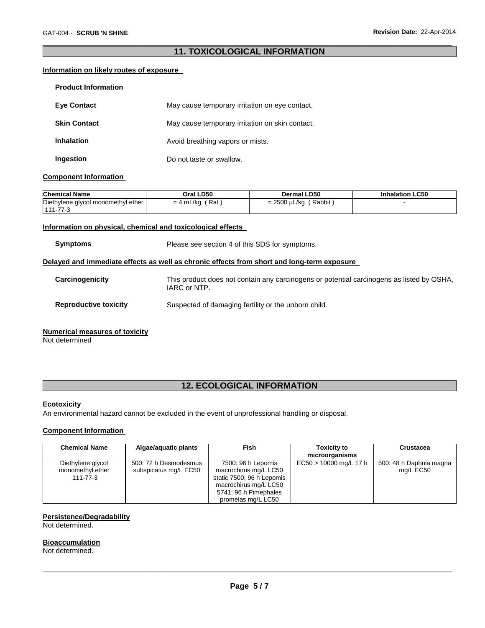#### \_\_\_\_\_\_\_\_\_\_\_\_\_\_\_\_\_\_\_\_\_\_\_\_\_\_\_\_\_\_\_\_\_\_\_\_\_\_\_\_\_\_\_\_\_\_\_\_\_\_\_\_\_\_\_\_\_\_\_\_\_\_\_\_\_\_\_\_\_\_\_\_\_\_\_\_\_\_\_\_\_\_\_\_\_\_\_\_\_\_\_\_\_ **11. TOXICOLOGICAL INFORMATION**

#### **Information on likely routes of exposure**

| <b>Product Information</b> |                                                 |
|----------------------------|-------------------------------------------------|
| <b>Eve Contact</b>         | May cause temporary irritation on eye contact.  |
| <b>Skin Contact</b>        | May cause temporary irritation on skin contact. |
| <b>Inhalation</b>          | Avoid breathing vapors or mists.                |
| Ingestion                  | Do not taste or swallow.                        |

#### **Component Information**

| <b>Chemical Name</b>               | Oral LD50           | <b>Dermal LD50</b>            | <b>Inhalation LC50</b> |
|------------------------------------|---------------------|-------------------------------|------------------------|
| Diethylene glycol monomethyl ether | ʿRat<br>$= 4$ mL/kg | ' Rabbit<br>$= 2500 \mu L/kg$ |                        |
| $111 - 77 - 3$                     |                     |                               |                        |

#### **Information on physical, chemical and toxicological effects**

**Symptoms** Please see section 4 of this SDS for symptoms.

#### **Delayed and immediate effects as well as chronic effects from short and long-term exposure**

| Carcinogenicity | This product does not contain any carcinogens or potential carcinogens as listed by OSHA,<br>IARC or NTP. |
|-----------------|-----------------------------------------------------------------------------------------------------------|
|                 |                                                                                                           |

**Reproductive toxicity** Suspected of damaging fertility or the unborn child.

#### **Numerical measures of toxicity**

Not determined

## **12. ECOLOGICAL INFORMATION**

#### **Ecotoxicity**

An environmental hazard cannot be excluded in the event of unprofessional handling or disposal.

#### **Component Information**

| <b>Chemical Name</b>                                    | Algae/aquatic plants                           | <b>Fish</b>                                                                                                                                      | <b>Toxicity to</b><br>microorganisms | <b>Crustacea</b>                     |
|---------------------------------------------------------|------------------------------------------------|--------------------------------------------------------------------------------------------------------------------------------------------------|--------------------------------------|--------------------------------------|
| Diethylene glycol<br>monomethyl ether<br>$111 - 77 - 3$ | 500: 72 h Desmodesmus<br>subspicatus mg/L EC50 | 7500: 96 h Lepomis<br>macrochirus mg/L LC50<br>static 7500: 96 h Lepomis<br>macrochirus mg/L LC50<br>5741: 96 h Pimephales<br>promelas mg/L LC50 | $EC50 > 10000$ mg/L 17 h             | 500: 48 h Daphnia magna<br>mg/L EC50 |

#### **Persistence/Degradability**

Not determined.

#### **Bioaccumulation**

Not determined.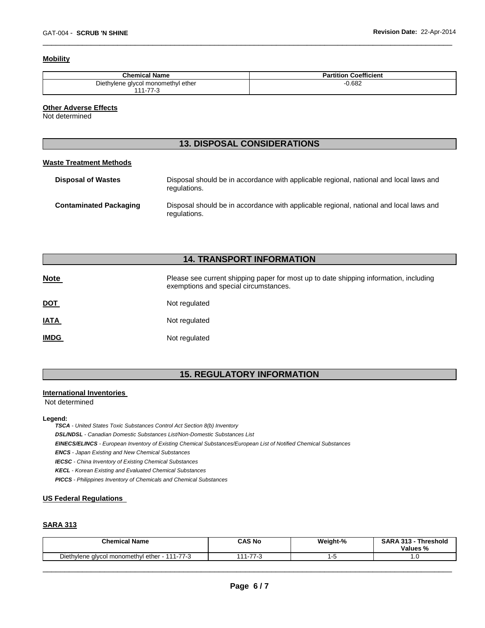#### **Mobility**

| <b>Chemical Name</b>               | <b>Partition Coefficient</b> |
|------------------------------------|------------------------------|
| Diethylene glycol monomethyl ether | 0.682                        |
| .77c<br>144                        |                              |

\_\_\_\_\_\_\_\_\_\_\_\_\_\_\_\_\_\_\_\_\_\_\_\_\_\_\_\_\_\_\_\_\_\_\_\_\_\_\_\_\_\_\_\_\_\_\_\_\_\_\_\_\_\_\_\_\_\_\_\_\_\_\_\_\_\_\_\_\_\_\_\_\_\_\_\_\_\_\_\_\_\_\_\_\_\_\_\_\_\_\_\_\_

#### **Other Adverse Effects**

Not determined

### **13. DISPOSAL CONSIDERATIONS**

#### **Waste Treatment Methods**

| <b>Disposal of Wastes</b>     | Disposal should be in accordance with applicable regional, national and local laws and<br>regulations. |
|-------------------------------|--------------------------------------------------------------------------------------------------------|
| <b>Contaminated Packaging</b> | Disposal should be in accordance with applicable regional, national and local laws and<br>regulations. |

## **14. TRANSPORT INFORMATION**

| <u>Note</u> | Please see current shipping paper for most up to date shipping information, including<br>exemptions and special circumstances. |
|-------------|--------------------------------------------------------------------------------------------------------------------------------|
| <u>DOT</u>  | Not regulated                                                                                                                  |
| <u>IATA</u> | Not regulated                                                                                                                  |
| <b>IMDG</b> | Not regulated                                                                                                                  |

## **15. REGULATORY INFORMATION**

#### **International Inventories**

Not determined

#### **Legend:**

*TSCA - United States Toxic Substances Control Act Section 8(b) Inventory DSL/NDSL - Canadian Domestic Substances List/Non-Domestic Substances List EINECS/ELINCS - European Inventory of Existing Chemical Substances/European List of Notified Chemical Substances ENCS - Japan Existing and New Chemical Substances IECSC - China Inventory of Existing Chemical Substances KECL - Korean Existing and Evaluated Chemical Substances PICCS - Philippines Inventory of Chemicals and Chemical Substances* 

#### **US Federal Regulations**

#### **SARA 313**

| <b>Chemical Name</b>                          | CAS No            | Weight-% | <b>SARA 313 -</b><br><b>Threshold</b><br>Values % |
|-----------------------------------------------|-------------------|----------|---------------------------------------------------|
| Diethylene glycol monomethyl ether - 111-77-3 | 77.0<br>.44<br>75 | ٠.       | ں. ا                                              |